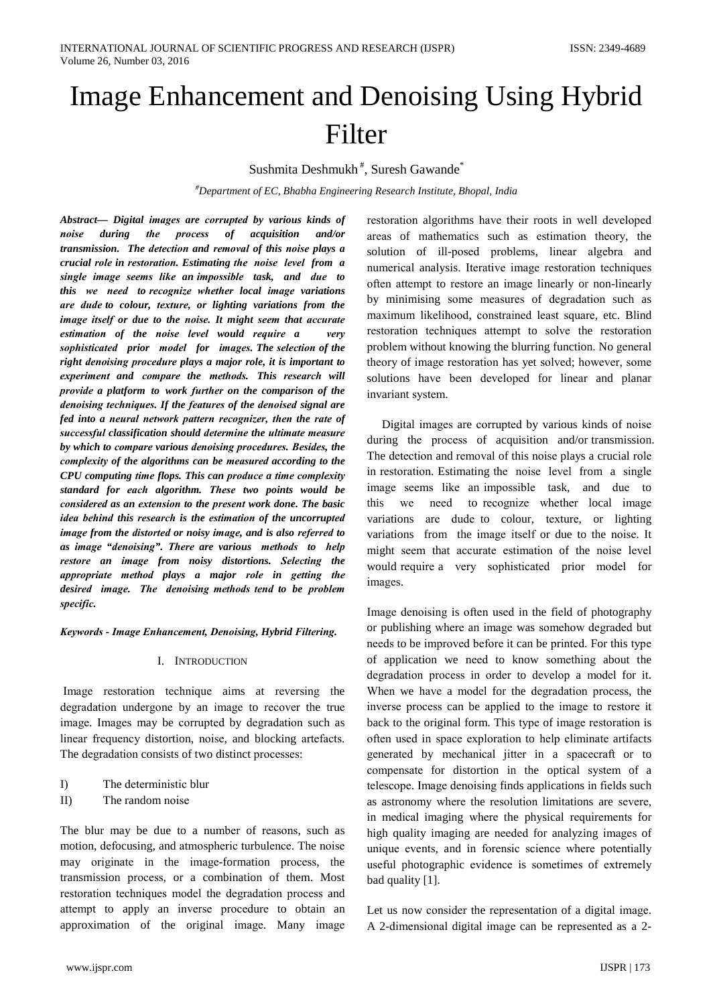# Image Enhancement and Denoising Using Hybrid Filter

Sushmita Deshmukh<sup>#</sup>, Suresh Gawande<sup>\*</sup>

 $^{\#}$ Department of EC, Bhabha Engineering Research Institute, Bhopal, India

Abstract- Digital images are corrupted by various kinds of noise during the process of acquisition  $and/or$ transmission. The detection and removal of this noise plays a crucial role in restoration. Estimating the noise level from a single image seems like an impossible task, and due to this we need to recognize whether local image variations are dude to colour, texture, or lighting variations from the image itself or due to the noise. It might seem that accurate estimation of the noise level would require a very sophisticated prior model for images. The selection of the right denoising procedure plays a major role, it is important to experiment and compare the methods. This research will provide a platform to work further on the comparison of the denoising techniques. If the features of the denoised signal are fed into a neural network pattern recognizer, then the rate of successful classification should determine the ultimate measure by which to compare various denoising procedures. Besides, the complexity of the algorithms can be measured according to the CPU computing time flops. This can produce a time complexity standard for each algorithm. These two points would be considered as an extension to the present work done. The basic idea behind this research is the estimation of the uncorrupted image from the distorted or noisy image, and is also referred to as image "denoising". There are various methods to help restore an image from noisy distortions. Selecting the appropriate method plays a major role in getting the desired image. The denoising methods tend to be problem specific.

Keywords - Image Enhancement, Denoising, Hybrid Filtering.

### **I. INTRODUCTION**

Image restoration technique aims at reversing the degradation undergone by an image to recover the true image. Images may be corrupted by degradation such as linear frequency distortion, noise, and blocking artefacts. The degradation consists of two distinct processes:

- $\Gamma$ The deterministic blur
- $II$ The random noise

The blur may be due to a number of reasons, such as motion, defocusing, and atmospheric turbulence. The noise may originate in the image-formation process, the transmission process, or a combination of them. Most restoration techniques model the degradation process and attempt to apply an inverse procedure to obtain an approximation of the original image. Many image

restoration algorithms have their roots in well developed areas of mathematics such as estimation theory, the solution of ill-posed problems, linear algebra and numerical analysis. Iterative image restoration techniques often attempt to restore an image linearly or non-linearly by minimising some measures of degradation such as maximum likelihood, constrained least square, etc. Blind restoration techniques attempt to solve the restoration problem without knowing the blurring function. No general theory of image restoration has yet solved; however, some solutions have been developed for linear and planar invariant system.

Digital images are corrupted by various kinds of noise during the process of acquisition and/or transmission. The detection and removal of this noise plays a crucial role in restoration. Estimating the noise level from a single image seems like an impossible task, and due to to recognize whether local image this we need variations are dude-to colour, texture, or lighting variations from the image itself or due to the noise. It might seem that accurate estimation of the noise level would require a very sophisticated prior model for images.

Image denoising is often used in the field of photography or publishing where an image was somehow degraded but needs to be improved before it can be printed. For this type of application we need to know something about the degradation process in order to develop a model for it. When we have a model for the degradation process, the inverse process can be applied to the image to restore it back to the original form. This type of image restoration is often used in space exploration to help eliminate artifacts generated by mechanical jitter in a spacecraft or to compensate for distortion in the optical system of a telescope. Image denoising finds applications in fields such as astronomy where the resolution limitations are severe, in medical imaging where the physical requirements for high quality imaging are needed for analyzing images of unique events, and in forensic science where potentially useful photographic evidence is sometimes of extremely bad quality [1].

Let us now consider the representation of a digital image. A 2-dimensional digital image can be represented as a 2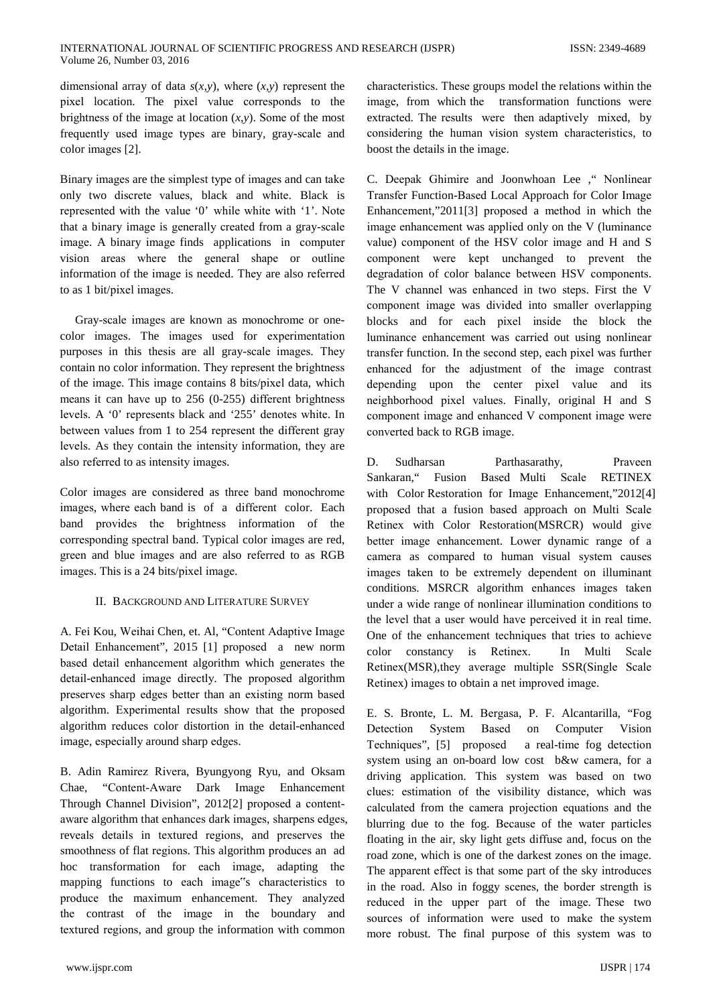dimensional array of data  $s(x, y)$ , where  $(x, y)$  represent the pixel location. The pixel value corresponds to the brightness of the image at location  $(x, y)$ . Some of the most frequently used image types are binary, gray-scale and color images [2].

Binary images are the simplest type of images and can take only two discrete values, black and white. Black is represented with the value '0' while white with '1'. Note that a binary image is generally created from a gray-scale image. A binary image finds applications in computer vision areas where the general shape or outline information of the image is needed. They are also referred to as 1 bit/pixel images.

Gray-scale images are known as monochrome or onecolor images. The images used for experimentation purposes in this thesis are all gray-scale images. They contain no color information. They represent the brightness of the image. This image contains 8 bits/pixel data, which means it can have up to  $256$  (0-255) different brightness levels. A '0' represents black and '255' denotes white. In between values from 1 to 254 represent the different gray levels. As they contain the intensity information, they are also referred to as intensity images.

Color images are considered as three band monochrome images, where each band is of a different color. Each band provides the brightness information of the corresponding spectral band. Typical color images are red, green and blue images and are also referred to as RGB images. This is a 24 bits/pixel image.

# **II. BACKGROUND AND LITERATURE SURVEY**

A. Fei Kou, Weihai Chen, et. Al, "Content Adaptive Image Detail Enhancement", 2015 [1] proposed a new norm based detail enhancement algorithm which generates the detail-enhanced image directly. The proposed algorithm preserves sharp edges better than an existing norm based algorithm. Experimental results show that the proposed algorithm reduces color distortion in the detail-enhanced image, especially around sharp edges.

B. Adin Ramirez Rivera, Byungyong Ryu, and Oksam Chae. "Content-Aware Dark Image Enhancement Through Channel Division", 2012[2] proposed a contentaware algorithm that enhances dark images, sharpens edges, reveals details in textured regions, and preserves the smoothness of flat regions. This algorithm produces an ad hoc transformation for each image, adapting the mapping functions to each image"s characteristics to produce the maximum enhancement. They analyzed the contrast of the image in the boundary and textured regions, and group the information with common

characteristics. These groups model the relations within the image, from which the transformation functions were extracted. The results were then adaptively mixed, by considering the human vision system characteristics, to boost the details in the image.

C. Deepak Ghimire and Joonwhoan Lee . Nonlinear Transfer Function-Based Local Approach for Color Image Enhancement,"2011[3] proposed a method in which the image enhancement was applied only on the V (luminance value) component of the HSV color image and H and S component were kept unchanged to prevent the degradation of color balance between HSV components. The V channel was enhanced in two steps. First the V component image was divided into smaller overlapping blocks and for each pixel inside the block the luminance enhancement was carried out using nonlinear transfer function. In the second step, each pixel was further enhanced for the adjustment of the image contrast depending upon the center pixel value and its neighborhood pixel values. Finally, original H and S component image and enhanced V component image were converted back to RGB image.

Sudharsan Parthasarathy, D. Praveen Sankaran," Fusion Based Multi Scale RETINEX with Color Restoration for Image Enhancement,"2012[4] proposed that a fusion based approach on Multi Scale Retinex with Color Restoration(MSRCR) would give better image enhancement. Lower dynamic range of a camera as compared to human visual system causes images taken to be extremely dependent on illuminant conditions. MSRCR algorithm enhances images taken under a wide range of nonlinear illumination conditions to the level that a user would have perceived it in real time. One of the enhancement techniques that tries to achieve color constancy is Retinex. In Multi Scale Retinex(MSR), they average multiple SSR(Single Scale Retinex) images to obtain a net improved image.

E. S. Bronte, L. M. Bergasa, P. F. Alcantarilla, "Fog Detection System Based Computer Vision on Techniques", [5] proposed a real-time fog detection system using an on-board low cost b&w camera, for a driving application. This system was based on two clues: estimation of the visibility distance, which was calculated from the camera projection equations and the blurring due to the fog. Because of the water particles floating in the air, sky light gets diffuse and, focus on the road zone, which is one of the darkest zones on the image. The apparent effect is that some part of the sky introduces in the road. Also in foggy scenes, the border strength is reduced in the upper part of the image. These two sources of information were used to make the system more robust. The final purpose of this system was to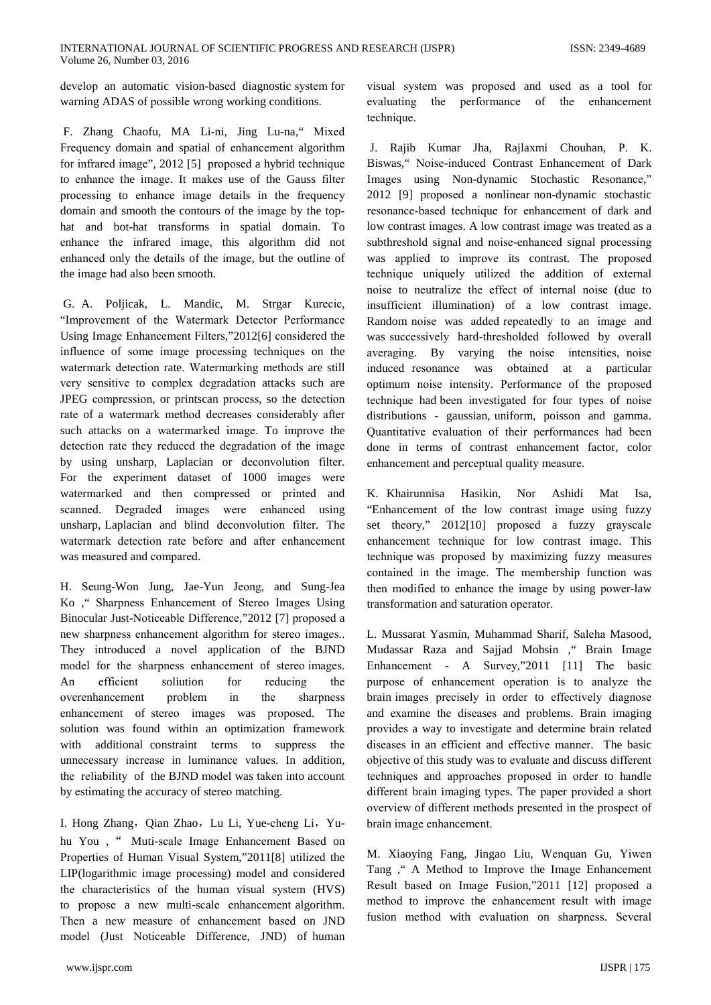develop an automatic vision-based diagnostic system for warning ADAS of possible wrong working conditions.

F. Zhang Chaofu, MA Li-ni, Jing Lu-na," Mixed Frequency domain and spatial of enhancement algorithm for infrared image", 2012 [5] proposed a hybrid technique to enhance the image. It makes use of the Gauss filter processing to enhance image details in the frequency domain and smooth the contours of the image by the tophat and bot-hat transforms in spatial domain. To enhance the infrared image, this algorithm did not enhanced only the details of the image, but the outline of the image had also been smooth.

G. A. Poljicak, L. Mandic, M. Strgar Kurecic, "Improvement of the Watermark Detector Performance Using Image Enhancement Filters,"2012[6] considered the influence of some image processing techniques on the watermark detection rate. Watermarking methods are still very sensitive to complex degradation attacks such are JPEG compression, or printscan process, so the detection rate of a watermark method decreases considerably after such attacks on a watermarked image. To improve the detection rate they reduced the degradation of the image by using unsharp, Laplacian or deconvolution filter. For the experiment dataset of 1000 images were watermarked and then compressed or printed and scanned. Degraded images were enhanced using unsharp, Laplacian and blind deconvolution filter. The watermark detection rate before and after enhancement was measured and compared.

H. Seung-Won Jung, Jae-Yun Jeong, and Sung-Jea Ko, "Sharpness Enhancement of Stereo Images Using Binocular Just-Noticeable Difference,"2012 [7] proposed a new sharpness enhancement algorithm for stereo images... They introduced a novel application of the BJND model for the sharpness enhancement of stereo images. efficient  $An$ soliution reducing  $for$ the overenhancement problem in the sharpness enhancement of stereo images was proposed. The solution was found within an optimization framework with additional constraint terms to suppress the unnecessary increase in luminance values. In addition, the reliability of the BJND model was taken into account by estimating the accuracy of stereo matching.

I. Hong Zhang, Qian Zhao, Lu Li, Yue-cheng Li, Yuhu You, " Muti-scale Image Enhancement Based on Properties of Human Visual System,"2011[8] utilized the LIP(logarithmic image processing) model and considered the characteristics of the human visual system (HVS) to propose a new multi-scale enhancement algorithm. Then a new measure of enhancement based on JND model (Just Noticeable Difference, JND) of human

visual system was proposed and used as a tool for the performance of the enhancement evaluating technique.

J. Rajib Kumar Jha, Rajlaxmi Chouhan, P. K. Biswas," Noise-induced Contrast Enhancement of Dark Images using Non-dynamic Stochastic Resonance," 2012 [9] proposed a nonlinear non-dynamic stochastic resonance-based technique for enhancement of dark and low contrast images. A low contrast image was treated as a subthreshold signal and noise-enhanced signal processing was applied to improve its contrast. The proposed technique uniquely utilized the addition of external noise to neutralize the effect of internal noise (due to insufficient illumination) of a low contrast image. Random noise was added repeatedly to an image and was successively hard-thresholded followed by overall averaging. By varying the noise intensities, noise induced resonance was obtained at a particular optimum noise intensity. Performance of the proposed technique had been investigated for four types of noise distributions - gaussian, uniform, poisson and gamma. Quantitative evaluation of their performances had been done in terms of contrast enhancement factor, color enhancement and perceptual quality measure.

K. Khairunnisa Hasikin. Ashidi Mat Nor Isa. "Enhancement of the low contrast image using fuzzy set theory," 2012[10] proposed a fuzzy grayscale enhancement technique for low contrast image. This technique was proposed by maximizing fuzzy measures contained in the image. The membership function was then modified to enhance the image by using power-law transformation and saturation operator.

L. Mussarat Yasmin, Muhammad Sharif, Saleha Masood, Mudassar Raza and Sajjad Mohsin ," Brain Image Enhancement - A Survey,"2011 [11] The basic purpose of enhancement operation is to analyze the brain images precisely in order to effectively diagnose and examine the diseases and problems. Brain imaging provides a way to investigate and determine brain related diseases in an efficient and effective manner. The basic objective of this study was to evaluate and discuss different techniques and approaches proposed in order to handle different brain imaging types. The paper provided a short overview of different methods presented in the prospect of brain image enhancement.

M. Xiaoying Fang, Jingao Liu, Wenquan Gu, Yiwen Tang, " A Method to Improve the Image Enhancement Result based on Image Fusion,"2011 [12] proposed a method to improve the enhancement result with image fusion method with evaluation on sharpness. Several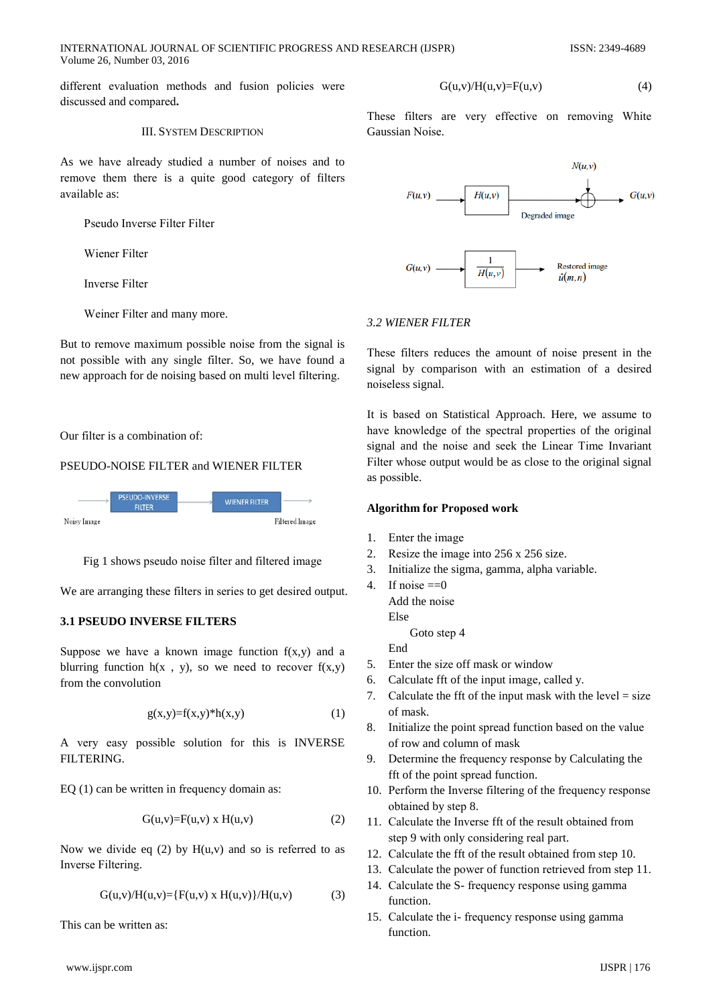INTERNATIONAL JOURNAL OF SCIENTIFIC PROGRESS AND RESEARCH (IJSPR) Volume 26, Number 03, 2016

different evaluation methods and fusion policies were discussed and compared.

#### **III. SYSTEM DESCRIPTION**

As we have already studied a number of noises and to remove them there is a quite good category of filters available as:

Pseudo Inverse Filter Filter

Wiener Filter

**Inverse Filter** 

Weiner Filter and many more.

But to remove maximum possible noise from the signal is not possible with any single filter. So, we have found a new approach for de noising based on multi level filtering.

Our filter is a combination of:

# PSEUDO-NOISE FILTER and WIENER FILTER



Fig 1 shows pseudo noise filter and filtered image

We are arranging these filters in series to get desired output.

# **3.1 PSEUDO INVERSE FILTERS**

Suppose we have a known image function  $f(x,y)$  and a blurring function  $h(x, y)$ , so we need to recover  $f(x,y)$ from the convolution

$$
g(x,y)=f(x,y)^*h(x,y) \tag{1}
$$

A very easy possible solution for this is INVERSE FILTERING.

EQ  $(1)$  can be written in frequency domain as:

$$
G(u,v)=F(u,v) \times H(u,v) \tag{2}
$$

Now we divide eq  $(2)$  by  $H(u,v)$  and so is referred to as Inverse Filtering.

$$
G(u,v)/H(u,v) = {F(u,v) \times H(u,v)}/H(u,v)
$$
 (3)

This can be written as:

$$
^{\prime} \text{ww.1jspr.com}
$$

 $\overline{M}$ 

$$
G(u,v)/H(u,v)=F(u,v) \tag{4}
$$

These filters are very effective on removing White Gaussian Noise.



# 3.2 WIENER FILTER

These filters reduces the amount of noise present in the signal by comparison with an estimation of a desired noiseless signal.

It is based on Statistical Approach. Here, we assume to have knowledge of the spectral properties of the original signal and the noise and seek the Linear Time Invariant Filter whose output would be as close to the original signal as possible.

#### **Algorithm for Proposed work**

- $1.$ Enter the image
- Resize the image into 256 x 256 size.  $2<sub>1</sub>$
- Initialize the sigma, gamma, alpha variable.  $\mathcal{R}$
- 4. If noise  $==0$ 
	- Add the noise Else

Goto step 4 End

- 5. Enter the size off mask or window
- 6. Calculate fft of the input image, called y.
- 7. Calculate the fft of the input mask with the level  $=$  size of mask.
- 8. Initialize the point spread function based on the value of row and column of mask
- 9. Determine the frequency response by Calculating the fft of the point spread function.
- 10. Perform the Inverse filtering of the frequency response obtained by step 8.
- 11. Calculate the Inverse fft of the result obtained from step 9 with only considering real part.
- 12. Calculate the fft of the result obtained from step 10.
- 13. Calculate the power of function retrieved from step 11.
- 14. Calculate the S- frequency response using gamma function
- 15. Calculate the i- frequency response using gamma function.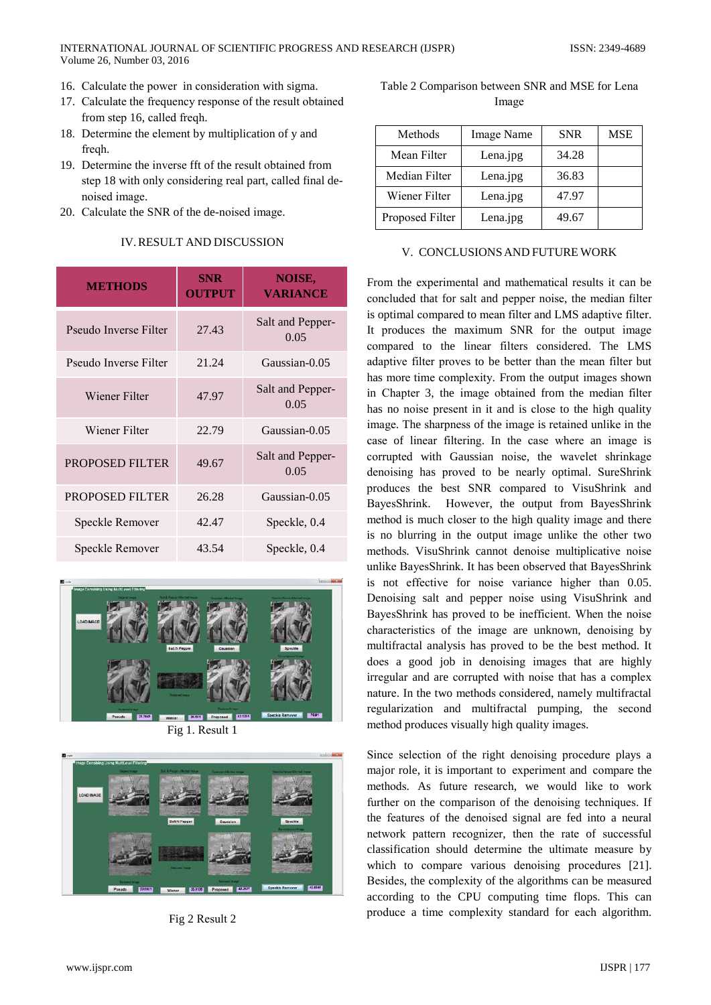- 16. Calculate the power in consideration with sigma.
- 17. Calculate the frequency response of the result obtained from step 16, called freqh.
- 18. Determine the element by multiplication of y and freqh.
- 19. Determine the inverse fft of the result obtained from step 18 with only considering real part, called final denoised image.
- 20. Calculate the SNR of the de-noised image.

| <b>METHODS</b>         | <b>SNR</b><br><b>OUTPUT</b> | <b>NOISE,</b><br><b>VARIANCE</b> |  |
|------------------------|-----------------------------|----------------------------------|--|
| Pseudo Inverse Filter  | 27.43                       | Salt and Pepper-<br>0.05         |  |
| Pseudo Inverse Filter  | 21.24                       | Gaussian-0.05                    |  |
| Wiener Filter          | 47.97                       | Salt and Pepper-<br>0.05         |  |
| Wiener Filter          | 22.79                       | Gaussian-0.05                    |  |
| PROPOSED FILTER        | 49.67                       | Salt and Pepper-<br>0.05         |  |
| <b>PROPOSED FILTER</b> | 26.28                       | Gaussian-0.05                    |  |
| Speckle Remover        | 42.47                       | Speckle, 0.4                     |  |
| Speckle Remover        | 43.54                       | Speckle, 0.4                     |  |

# **IV. RESULT AND DISCUSSION**



Fig 1. Result 1



Fig 2 Result 2

| Table 2 Comparison between SNR and MSE for Lena |  |
|-------------------------------------------------|--|
| Image                                           |  |

| Methods         | Image Name | <b>SNR</b> | <b>MSE</b> |
|-----------------|------------|------------|------------|
| Mean Filter     | Lena.jpg   | 34.28      |            |
| Median Filter   | Lena.jpg   | 36.83      |            |
| Wiener Filter   | Lena.jpg   | 47.97      |            |
| Proposed Filter | Lena.jpg   | 49.67      |            |

### V. CONCLUSIONS AND FUTURE WORK

From the experimental and mathematical results it can be concluded that for salt and pepper noise, the median filter is optimal compared to mean filter and LMS adaptive filter. It produces the maximum SNR for the output image compared to the linear filters considered. The LMS adaptive filter proves to be better than the mean filter but has more time complexity. From the output images shown in Chapter 3, the image obtained from the median filter has no noise present in it and is close to the high quality image. The sharpness of the image is retained unlike in the case of linear filtering. In the case where an image is corrupted with Gaussian noise, the wavelet shrinkage denoising has proved to be nearly optimal. SureShrink produces the best SNR compared to VisuShrink and BayesShrink. However, the output from BayesShrink method is much closer to the high quality image and there is no blurring in the output image unlike the other two methods. VisuShrink cannot denoise multiplicative noise unlike BayesShrink. It has been observed that BayesShrink is not effective for noise variance higher than 0.05. Denoising salt and pepper noise using VisuShrink and BayesShrink has proved to be inefficient. When the noise characteristics of the image are unknown, denoising by multifractal analysis has proved to be the best method. It does a good job in denoising images that are highly irregular and are corrupted with noise that has a complex nature. In the two methods considered, namely multifractal regularization and multifractal pumping, the second method produces visually high quality images.

Since selection of the right denoising procedure plays a major role, it is important to experiment and compare the methods. As future research, we would like to work further on the comparison of the denoising techniques. If the features of the denoised signal are fed into a neural network pattern recognizer, then the rate of successful classification should determine the ultimate measure by which to compare various denoising procedures [21]. Besides, the complexity of the algorithms can be measured according to the CPU computing time flops. This can produce a time complexity standard for each algorithm.